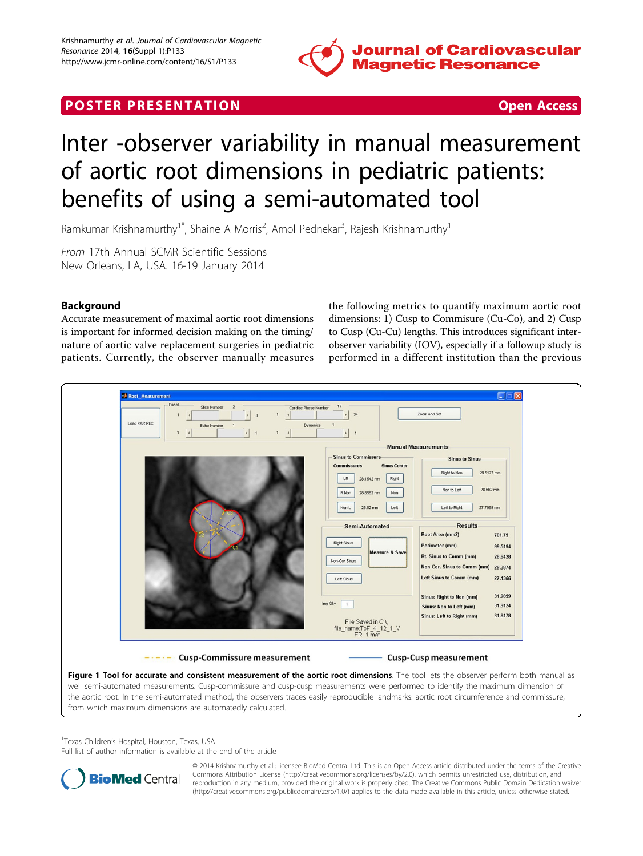

## <span id="page-0-0"></span>**POSTER PRESENTATION CONSUMING ACCESS**



# Inter -observer variability in manual measurement of aortic root dimensions in pediatric patients: benefits of using a semi-automated tool

Ramkumar Krishnamurthy<sup>1\*</sup>, Shaine A Morris<sup>2</sup>, Amol Pednekar<sup>3</sup>, Rajesh Krishnamurthy<sup>1</sup>

From 17th Annual SCMR Scientific Sessions New Orleans, LA, USA. 16-19 January 2014

### Background

Accurate measurement of maximal aortic root dimensions is important for informed decision making on the timing/ nature of aortic valve replacement surgeries in pediatric patients. Currently, the observer manually measures

the following metrics to quantify maximum aortic root dimensions: 1) Cusp to Commisure (Cu-Co), and 2) Cusp to Cusp (Cu-Cu) lengths. This introduces significant interobserver variability (IOV), especially if a followup study is performed in a different institution than the previous



<sup>1</sup>Texas Children's Hospital, Houston, Texas, USA

Full list of author information is available at the end of the article



© 2014 Krishnamurthy et al.; licensee BioMed Central Ltd. This is an Open Access article distributed under the terms of the Creative Commons Attribution License [\(http://creativecommons.org/licenses/by/2.0](http://creativecommons.org/licenses/by/2.0)), which permits unrestricted use, distribution, and reproduction in any medium, provided the original work is properly cited. The Creative Commons Public Domain Dedication waiver [\(http://creativecommons.org/publicdomain/zero/1.0/](http://creativecommons.org/publicdomain/zero/1.0/)) applies to the data made available in this article, unless otherwise stated.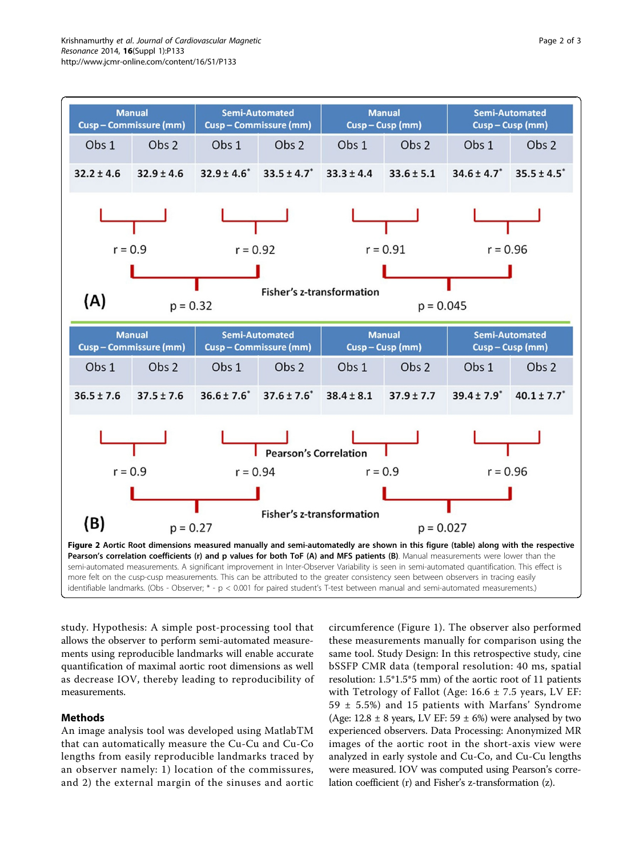<span id="page-1-0"></span>

study. Hypothesis: A simple post-processing tool that allows the observer to perform semi-automated measurements using reproducible landmarks will enable accurate quantification of maximal aortic root dimensions as well as decrease IOV, thereby leading to reproducibility of measurements.

#### Methods

An image analysis tool was developed using MatlabTM that can automatically measure the Cu-Cu and Cu-Co lengths from easily reproducible landmarks traced by an observer namely: 1) location of the commissures, and 2) the external margin of the sinuses and aortic

circumference (Figure [1\)](#page-0-0). The observer also performed these measurements manually for comparison using the same tool. Study Design: In this retrospective study, cine bSSFP CMR data (temporal resolution: 40 ms, spatial resolution: 1.5\*1.5\*5 mm) of the aortic root of 11 patients with Tetrology of Fallot (Age: 16.6 ± 7.5 years, LV EF: 59  $\pm$  5.5%) and 15 patients with Marfans' Syndrome (Age:  $12.8 \pm 8$  years, LV EF:  $59 \pm 6\%$ ) were analysed by two experienced observers. Data Processing: Anonymized MR images of the aortic root in the short-axis view were analyzed in early systole and Cu-Co, and Cu-Cu lengths were measured. IOV was computed using Pearson's correlation coefficient (r) and Fisher's z-transformation (z).